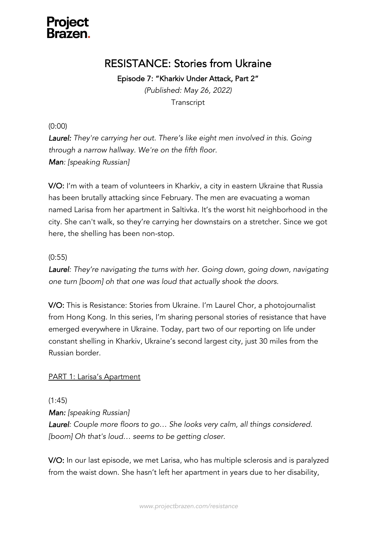

## RESISTANCE: Stories from Ukraine

Episode 7: "Kharkiv Under Attack, Part 2"

*(Published: May 26, 2022)* **Transcript** 

(0:00)

*Laurel: They're carrying her out. There's like eight men involved in this. Going through a narrow hallway. We're on the fifth floor. Man: [speaking Russian]*

V/O: I'm with a team of volunteers in Kharkiv, a city in eastern Ukraine that Russia has been brutally attacking since February. The men are evacuating a woman named Larisa from her apartment in Saltivka. It's the worst hit neighborhood in the city. She can't walk, so they're carrying her downstairs on a stretcher. Since we got here, the shelling has been non-stop.

#### (0:55)

*Laurel: They're navigating the turns with her. Going down, going down, navigating one turn [boom] oh that one was loud that actually shook the doors.* 

V/O: This is Resistance: Stories from Ukraine. I'm Laurel Chor, a photojournalist from Hong Kong. In this series, I'm sharing personal stories of resistance that have emerged everywhere in Ukraine. Today, part two of our reporting on life under constant shelling in Kharkiv, Ukraine's second largest city, just 30 miles from the Russian border.

#### PART 1: Larisa's Apartment

(1:45)

*Man: [speaking Russian]* 

*Laurel: Couple more floors to go… She looks very calm, all things considered. [boom] Oh that's loud… seems to be getting closer.* 

V/O: In our last episode, we met Larisa, who has multiple sclerosis and is paralyzed from the waist down. She hasn't left her apartment in years due to her disability,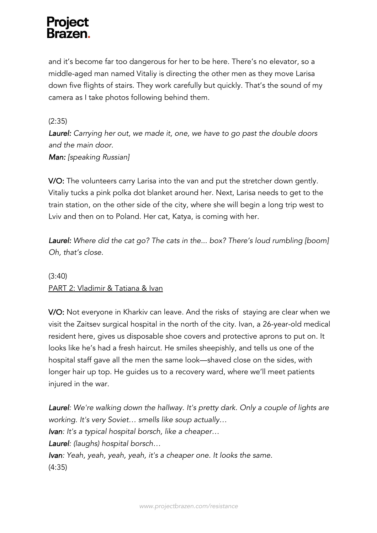and it's become far too dangerous for her to be here. There's no elevator, so a middle-aged man named Vitaliy is directing the other men as they move Larisa down five flights of stairs. They work carefully but quickly. That's the sound of my camera as I take photos following behind them.

#### (2:35)

*Laurel: Carrying her out, we made it, one, we have to go past the double doors and the main door. Man: [speaking Russian]*

V/O: The volunteers carry Larisa into the van and put the stretcher down gently. Vitaliy tucks a pink polka dot blanket around her. Next, Larisa needs to get to the train station, on the other side of the city, where she will begin a long trip west to Lviv and then on to Poland. Her cat, Katya, is coming with her.

*Laurel: Where did the cat go? The cats in the... box? There's loud rumbling [boom] Oh, that's close.*

### (3:40) PART 2: Vladimir & Tatiana & Ivan

V/O: Not everyone in Kharkiv can leave. And the risks of staying are clear when we visit the Zaitsev surgical hospital in the north of the city. Ivan, a 26-year-old medical resident here, gives us disposable shoe covers and protective aprons to put on. It looks like he's had a fresh haircut. He smiles sheepishly, and tells us one of the hospital staff gave all the men the same look—shaved close on the sides, with longer hair up top. He guides us to a recovery ward, where we'll meet patients injured in the war.

*Laurel: We're walking down the hallway. It's pretty dark. Only a couple of lights are working. It's very Soviet… smells like soup actually… Ivan: It's a typical hospital borsch, like a cheaper… Laurel: (laughs) hospital borsch… Ivan: Yeah, yeah, yeah, yeah, it's a cheaper one. It looks the same.* (4:35)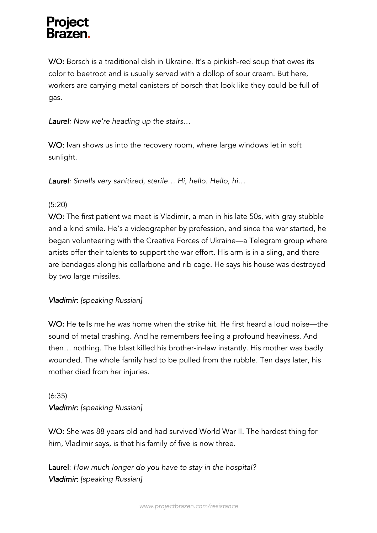V/O: Borsch is a traditional dish in Ukraine. It's a pinkish-red soup that owes its color to beetroot and is usually served with a dollop of sour cream. But here, workers are carrying metal canisters of borsch that look like they could be full of gas.

*Laurel: Now we're heading up the stairs…*

V/O: Ivan shows us into the recovery room, where large windows let in soft sunlight.

*Laurel: Smells very sanitized, sterile… Hi, hello. Hello, hi…*

#### (5:20)

V/O: The first patient we meet is Vladimir, a man in his late 50s, with gray stubble and a kind smile. He's a videographer by profession, and since the war started, he began volunteering with the Creative Forces of Ukraine—a Telegram group where artists offer their talents to support the war effort. His arm is in a sling, and there are bandages along his collarbone and rib cage. He says his house was destroyed by two large missiles.

### *Vladimir: [speaking Russian]*

V/O: He tells me he was home when the strike hit. He first heard a loud noise—the sound of metal crashing. And he remembers feeling a profound heaviness. And then… nothing. The blast killed his brother-in-law instantly. His mother was badly wounded. The whole family had to be pulled from the rubble. Ten days later, his mother died from her injuries.

### (6:35) *Vladimir: [speaking Russian]*

V/O: She was 88 years old and had survived World War II. The hardest thing for him, Vladimir says, is that his family of five is now three.

Laurel: *How much longer do you have to stay in the hospital? Vladimir: [speaking Russian]*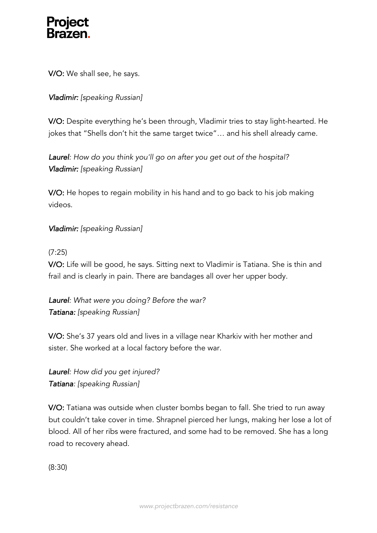V/O: We shall see, he says.

### *Vladimir: [speaking Russian]*

V/O: Despite everything he's been through, Vladimir tries to stay light-hearted. He jokes that "Shells don't hit the same target twice"… and his shell already came.

*Laurel: How do you think you'll go on after you get out of the hospital? Vladimir: [speaking Russian]*

V/O: He hopes to regain mobility in his hand and to go back to his job making videos.

### *Vladimir: [speaking Russian]*

#### (7:25)

V/O: Life will be good, he says. Sitting next to Vladimir is Tatiana. She is thin and frail and is clearly in pain. There are bandages all over her upper body.

*Laurel: What were you doing? Before the war? Tatiana: [speaking Russian]*

V/O: She's 37 years old and lives in a village near Kharkiv with her mother and sister. She worked at a local factory before the war.

*Laurel: How did you get injured? Tatiana: [speaking Russian]*

V/O: Tatiana was outside when cluster bombs began to fall. She tried to run away but couldn't take cover in time. Shrapnel pierced her lungs, making her lose a lot of blood. All of her ribs were fractured, and some had to be removed. She has a long road to recovery ahead.

(8:30)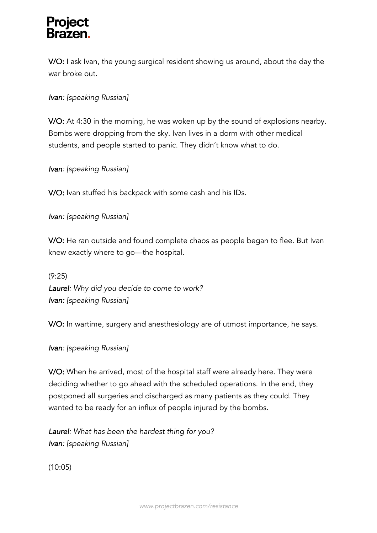V/O: I ask Ivan, the young surgical resident showing us around, about the day the war broke out.

*Ivan: [speaking Russian]*

V/O: At 4:30 in the morning, he was woken up by the sound of explosions nearby. Bombs were dropping from the sky. Ivan lives in a dorm with other medical students, and people started to panic. They didn't know what to do.

*Ivan: [speaking Russian]*

V/O: Ivan stuffed his backpack with some cash and his IDs.

*Ivan: [speaking Russian]*

V/O: He ran outside and found complete chaos as people began to flee. But Ivan knew exactly where to go—the hospital.

(9:25) *Laurel: Why did you decide to come to work? Ivan: [speaking Russian]*

V/O: In wartime, surgery and anesthesiology are of utmost importance, he says.

*Ivan: [speaking Russian]*

V/O: When he arrived, most of the hospital staff were already here. They were deciding whether to go ahead with the scheduled operations. In the end, they postponed all surgeries and discharged as many patients as they could. They wanted to be ready for an influx of people injured by the bombs.

*Laurel: What has been the hardest thing for you? Ivan: [speaking Russian]*

(10:05)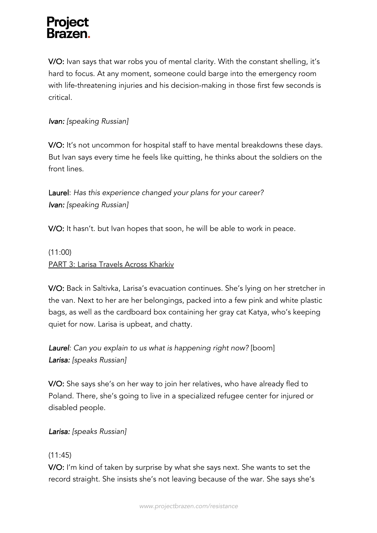V/O: Ivan says that war robs you of mental clarity. With the constant shelling, it's hard to focus. At any moment, someone could barge into the emergency room with life-threatening injuries and his decision-making in those first few seconds is critical.

### *Ivan: [speaking Russian]*

V/O: It's not uncommon for hospital staff to have mental breakdowns these days. But Ivan says every time he feels like quitting, he thinks about the soldiers on the front lines.

Laurel: *Has this experience changed your plans for your career? Ivan: [speaking Russian]*

V/O: It hasn't. but Ivan hopes that soon, he will be able to work in peace.

(11:00) PART 3: Larisa Travels Across Kharkiv

V/O: Back in Saltivka, Larisa's evacuation continues. She's lying on her stretcher in the van. Next to her are her belongings, packed into a few pink and white plastic bags, as well as the cardboard box containing her gray cat Katya, who's keeping quiet for now. Larisa is upbeat, and chatty.

*Laurel: Can you explain to us what is happening right now?* [boom] *Larisa: [speaks Russian]*

V/O: She says she's on her way to join her relatives, who have already fled to Poland. There, she's going to live in a specialized refugee center for injured or disabled people.

*Larisa: [speaks Russian]*

### (11:45)

V/O: I'm kind of taken by surprise by what she says next. She wants to set the record straight. She insists she's not leaving because of the war. She says she's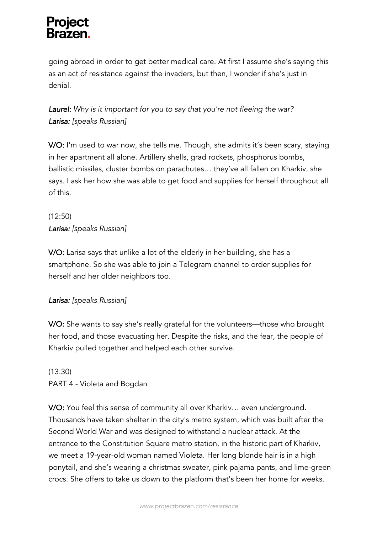going abroad in order to get better medical care. At first I assume she's saying this as an act of resistance against the invaders, but then, I wonder if she's just in denial.

*Laurel: Why is it important for you to say that you're not fleeing the war? Larisa: [speaks Russian]*

V/O: I'm used to war now, she tells me. Though, she admits it's been scary, staying in her apartment all alone. Artillery shells, grad rockets, phosphorus bombs, ballistic missiles, cluster bombs on parachutes… they've all fallen on Kharkiv, she says. I ask her how she was able to get food and supplies for herself throughout all of this.

(12:50) *Larisa: [speaks Russian]*

V/O: Larisa says that unlike a lot of the elderly in her building, she has a smartphone. So she was able to join a Telegram channel to order supplies for herself and her older neighbors too.

### *Larisa: [speaks Russian]*

V/O: She wants to say she's really grateful for the volunteers—those who brought her food, and those evacuating her. Despite the risks, and the fear, the people of Kharkiv pulled together and helped each other survive.

### (13:30) PART 4 - Violeta and Bogdan

V/O: You feel this sense of community all over Kharkiv… even underground. Thousands have taken shelter in the city's metro system, which was built after the Second World War and was designed to withstand a nuclear attack. At the entrance to the Constitution Square metro station, in the historic part of Kharkiv, we meet a 19-year-old woman named Violeta. Her long blonde hair is in a high ponytail, and she's wearing a christmas sweater, pink pajama pants, and lime-green crocs. She offers to take us down to the platform that's been her home for weeks.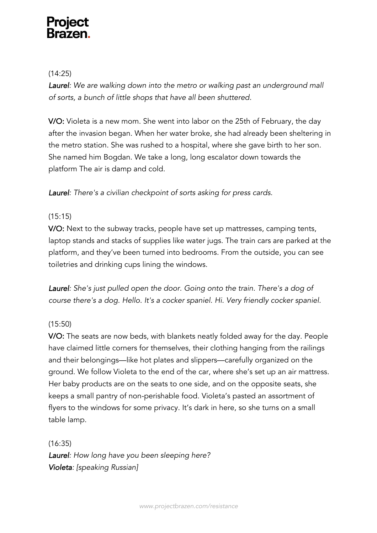#### (14:25)

Laurel: We are walking down into the metro or walking past an underground mall *of sorts, a bunch of little shops that have all been shuttered.*

V/O: Violeta is a new mom. She went into labor on the 25th of February, the day after the invasion began. When her water broke, she had already been sheltering in the metro station. She was rushed to a hospital, where she gave birth to her son. She named him Bogdan. We take a long, long escalator down towards the platform The air is damp and cold.

*Laurel: There's a civilian checkpoint of sorts asking for press cards.* 

### (15:15)

V/O: Next to the subway tracks, people have set up mattresses, camping tents, laptop stands and stacks of supplies like water jugs. The train cars are parked at the platform, and they've been turned into bedrooms. From the outside, you can see toiletries and drinking cups lining the windows.

*Laurel: She's just pulled open the door. Going onto the train. There's a dog of course there's a dog. Hello. It's a cocker spaniel. Hi. Very friendly cocker spaniel.* 

### (15:50)

V/O: The seats are now beds, with blankets neatly folded away for the day. People have claimed little corners for themselves, their clothing hanging from the railings and their belongings—like hot plates and slippers—carefully organized on the ground. We follow Violeta to the end of the car, where she's set up an air mattress. Her baby products are on the seats to one side, and on the opposite seats, she keeps a small pantry of non-perishable food. Violeta's pasted an assortment of flyers to the windows for some privacy. It's dark in here, so she turns on a small table lamp.

(16:35)

*Laurel: How long have you been sleeping here? Violeta: [speaking Russian]*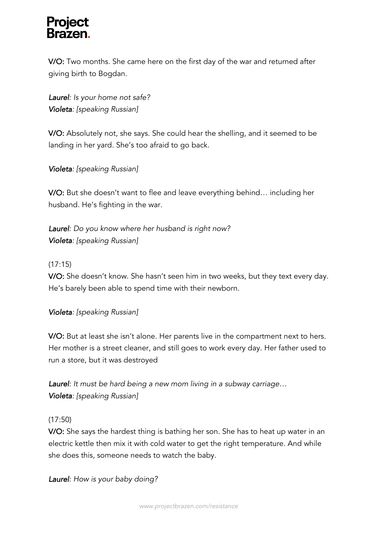V/O: Two months. She came here on the first day of the war and returned after giving birth to Bogdan.

*Laurel: Is your home not safe? Violeta: [speaking Russian]*

V/O: Absolutely not, she says. She could hear the shelling, and it seemed to be landing in her yard. She's too afraid to go back.

*Violeta: [speaking Russian]*

V/O: But she doesn't want to flee and leave everything behind… including her husband. He's fighting in the war.

*Laurel: Do you know where her husband is right now? Violeta: [speaking Russian]*

#### (17:15)

V/O: She doesn't know. She hasn't seen him in two weeks, but they text every day. He's barely been able to spend time with their newborn.

#### *Violeta: [speaking Russian]*

V/O: But at least she isn't alone. Her parents live in the compartment next to hers. Her mother is a street cleaner, and still goes to work every day. Her father used to run a store, but it was destroyed

*Laurel: It must be hard being a new mom living in a subway carriage… Violeta: [speaking Russian]*

#### (17:50)

V/O: She says the hardest thing is bathing her son. She has to heat up water in an electric kettle then mix it with cold water to get the right temperature. And while she does this, someone needs to watch the baby.

*Laurel: How is your baby doing?*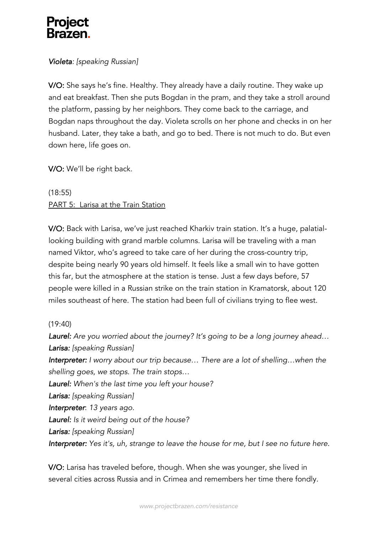### *Violeta: [speaking Russian]*

V/O: She says he's fine. Healthy. They already have a daily routine. They wake up and eat breakfast. Then she puts Bogdan in the pram, and they take a stroll around the platform, passing by her neighbors. They come back to the carriage, and Bogdan naps throughout the day. Violeta scrolls on her phone and checks in on her husband. Later, they take a bath, and go to bed. There is not much to do. But even down here, life goes on.

V/O: We'll be right back.

(18:55) PART 5: Larisa at the Train Station

V/O: Back with Larisa, we've just reached Kharkiv train station. It's a huge, palatiallooking building with grand marble columns. Larisa will be traveling with a man named Viktor, who's agreed to take care of her during the cross-country trip, despite being nearly 90 years old himself. It feels like a small win to have gotten this far, but the atmosphere at the station is tense. Just a few days before, 57 people were killed in a Russian strike on the train station in Kramatorsk, about 120 miles southeast of here. The station had been full of civilians trying to flee west.

#### (19:40)

*Laurel: Are you worried about the journey? It's going to be a long journey ahead… Larisa: [speaking Russian] Interpreter: I worry about our trip because… There are a lot of shelling…when the shelling goes, we stops. The train stops*… *Laurel: When's the last time you left your house? Larisa: [speaking Russian] Interpreter*: *13 years ago. Laurel: Is it weird being out of the house? Larisa: [speaking Russian] Interpreter: Yes it's, uh, strange to leave the house for me, but I see no future here.* 

V/O: Larisa has traveled before, though. When she was younger, she lived in several cities across Russia and in Crimea and remembers her time there fondly.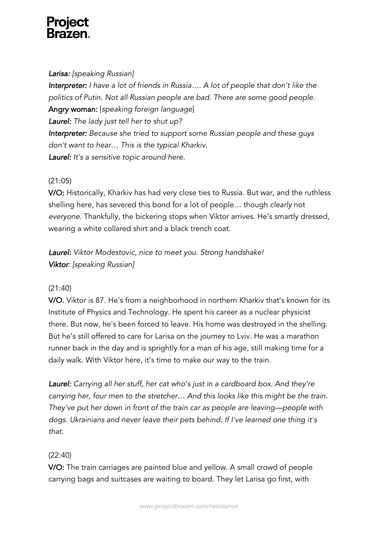#### *Larisa: [speaking Russian]*

*Interpreter: I have a lot of friends in Russia…. A lot of people that don't like the politics of Putin. Not all Russian people are bad. There are some good people.* Angry woman: [*speaking foreign language*] *Laurel: The lady just tell her to shut up? Interpreter: Because she tried to support some Russian people and these guys don't want to hear… This is the typical Kharkiv. Laurel: It's a sensitive topic around here.*

#### (21:05)

V/O: Historically, Kharkiv has had very close ties to Russia. But war, and the ruthless shelling here, has severed this bond for a lot of people… though *clearly* not *everyone*. Thankfully, the bickering stops when Viktor arrives. He's smartly dressed, wearing a white collared shirt and a black trench coat.

*Laurel: Viktor Modestovic, nice to meet you. Strong handshake! Viktor: [speaking Russian]*

### (21:40)

V/O. Viktor is 87. He's from a neighborhood in northern Kharkiv that's known for its Institute of Physics and Technology. He spent his career as a nuclear physicist there. But now, he's been forced to leave. His home was destroyed in the shelling. But he's still offered to care for Larisa on the journey to Lviv. He was a marathon runner back in the day and is sprightly for a man of his age, still making time for a daily walk. With Viktor here, it's time to make our way to the train.

*Laurel: Carrying all her stuff, her cat who's just in a cardboard box. And they're carrying her, four men to the stretcher… And this looks like this might be the train. They've put her down in front of the train car as people are leaving—people with dogs. Ukrainians and never leave their pets behind. If I've learned one thing it's that.*

### (22:40)

V/O: The train carriages are painted blue and yellow. A small crowd of people carrying bags and suitcases are waiting to board. They let Larisa go first, with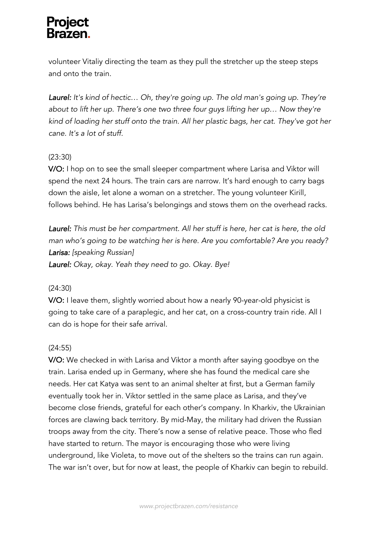volunteer Vitaliy directing the team as they pull the stretcher up the steep steps and onto the train.

*Laurel: It's kind of hectic… Oh, they're going up. The old man's going up. They're about to lift her up. There's one two three four guys lifting her up… Now they're kind of loading her stuff onto the train. All her plastic bags, her cat. They've got her cane. It's a lot of stuff.*

#### (23:30)

V/O: I hop on to see the small sleeper compartment where Larisa and Viktor will spend the next 24 hours. The train cars are narrow. It's hard enough to carry bags down the aisle, let alone a woman on a stretcher. The young volunteer Kirill, follows behind. He has Larisa's belongings and stows them on the overhead racks.

*Laurel: This must be her compartment. All her stuff is here, her cat is here, the old man who's going to be watching her is here. Are you comfortable? Are you ready? Larisa: [speaking Russian]*

*Laurel: Okay, okay. Yeah they need to go. Okay. Bye!*

#### (24:30)

V/O: I leave them, slightly worried about how a nearly 90-year-old physicist is going to take care of a paraplegic, and her cat, on a cross-country train ride. All I can do is hope for their safe arrival.

#### (24:55)

V/O: We checked in with Larisa and Viktor a month after saying goodbye on the train. Larisa ended up in Germany, where she has found the medical care she needs. Her cat Katya was sent to an animal shelter at first, but a German family eventually took her in. Viktor settled in the same place as Larisa, and they've become close friends, grateful for each other's company. In Kharkiv, the Ukrainian forces are clawing back territory. By mid-May, the military had driven the Russian troops away from the city. There's now a sense of relative peace. Those who fled have started to return. The mayor is encouraging those who were living underground, like Violeta, to move out of the shelters so the trains can run again. The war isn't over, but for now at least, the people of Kharkiv can begin to rebuild.